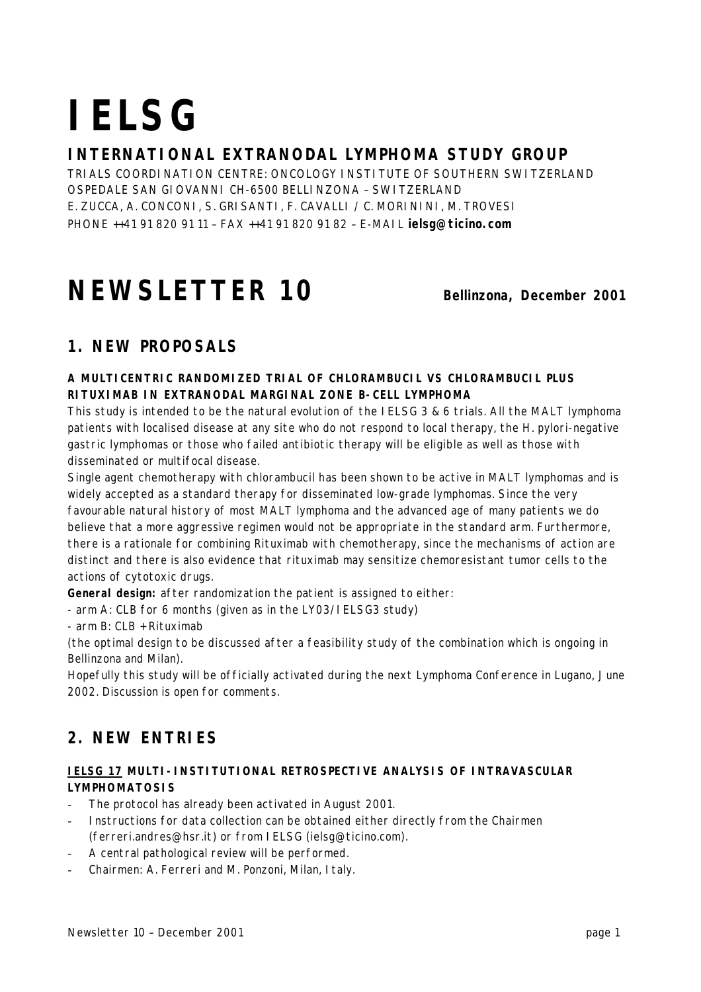# **IELSG**

# **INTERNATIONAL EXTRANODAL LYMPHOMA STUDY GROUP**

TRIALS COORDINATION CENTRE: ONCOLOGY INSTITUTE OF SOUTHERN SWITZERLAND OSPEDALE SAN GIOVANNI CH-6500 BELLINZONA – SWITZERLAND E. ZUCCA, A. CONCONI, S. GRISANTI, F. CAVALLI / C. MORININI, M. TROVESI PHONE ++41 91 820 91 11 – FAX ++41 91 820 91 82 – E-MAIL **ielsg@ticino.com**

# **NEWSLETTER 10 Bellinzona, December 2001**

# **1. NEW PROPOSALS**

#### **A MULTICENTRIC RANDOMIZED TRIAL OF CHLORAMBUCIL VS CHLORAMBUCIL PLUS RITUXIMAB IN EXTRANODAL MARGINAL ZONE B-CELL LYMPHOMA**

This study is intended to be the natural evolution of the IELSG 3 & 6 trials. All the MALT lymphoma patients with localised disease at any site who do not respond to local therapy, the H. pylori-negative gastric lymphomas or those who failed antibiotic therapy will be eligible as well as those with disseminated or multifocal disease.

Single agent chemotherapy with chlorambucil has been shown to be active in MALT lymphomas and is widely accepted as a standard therapy for disseminated low-grade lymphomas. Since the very favourable natural history of most MALT lymphoma and the advanced age of many patients we do believe that a more aggressive regimen would not be appropriate in the standard arm. Furthermore, there is a rationale for combining Rituximab with chemotherapy, since the mechanisms of action are distinct and there is also evidence that rituximab may sensitize chemoresistant tumor cells to the actions of cytotoxic drugs.

**General design:** after randomization the patient is assigned to either:

- arm A: CLB for 6 months (given as in the LY03/IELSG3 study)

- arm B: CLB + Rituximab

(the optimal design to be discussed after a feasibility study of the combination which is ongoing in Bellinzona and Milan).

Hopefully this study will be officially activated during the next Lymphoma Conference in Lugano, June 2002. Discussion is open for comments.

# **2. NEW ENTRIES**

#### **IELSG 17 MULTI-INSTITUTIONAL RETROSPECTIVE ANALYSIS OF INTRAVASCULAR LYMPHOMATOSIS**

- The protocol has already been activated in August 2001.
- Instructions for data collection can be obtained either directly from the Chairmen (ferreri.andres@hsr.it) or from IELSG (ielsg@ticino.com).
- A central pathological review will be performed.
- Chairmen: *A. Ferreri and M. Ponzoni, Milan, Italy.*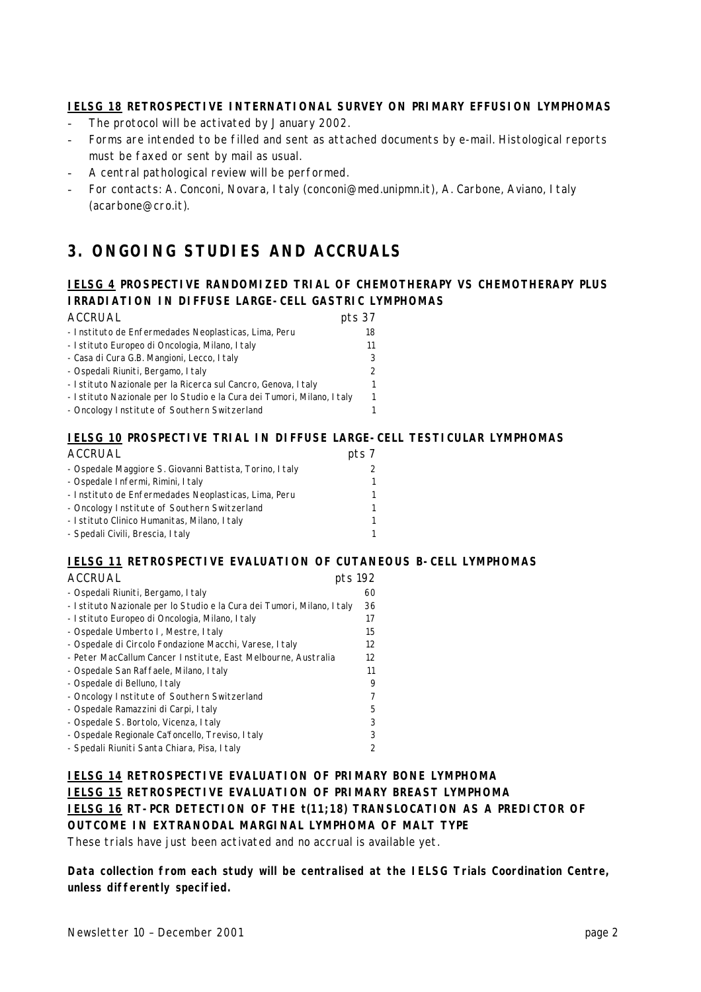#### **IELSG 18 RETROSPECTIVE INTERNATIONAL SURVEY ON PRIMARY EFFUSION LYMPHOMAS**

- The protocol will be activated by January 2002.
- Forms are intended to be filled and sent as attached documents by e-mail. Histological reports must be faxed or sent by mail as usual.
- A central pathological review will be performed.
- For contacts: *A. Conconi, Novara, Italy (conconi@med.unipmn.it), A. Carbone, Aviano, Italy (acarbone@cro.it)*.

# **3. ONGOING STUDIES AND ACCRUALS**

#### **IELSG 4 PROSPECTIVE RANDOMIZED TRIAL OF CHEMOTHERAPY VS CHEMOTHERAPY PLUS IRRADIATION IN DIFFUSE LARGE-CELL GASTRIC LYMPHOMAS**

| <b>ACCRUAL</b>                                                         | pts 37 |
|------------------------------------------------------------------------|--------|
| - Instituto de Enfermedades Neoplasticas, Lima, Peru                   | 18     |
| - Istituto Europeo di Oncologia, Milano, Italy                         | 11     |
| - Casa di Cura G.B. Mangioni, Lecco, Italy                             |        |
| - Ospedali Riuniti, Bergamo, I taly                                    |        |
| - Istituto Nazionale per la Ricerca sul Cancro, Genova, Italy          |        |
| - Istituto Nazionale per lo Studio e la Cura dei Tumori, Milano, Italy |        |
| - Oncology Institute of Southern Switzerland                           |        |

#### **IELSG 10 PROSPECTIVE TRIAL IN DIFFUSE LARGE-CELL TESTICULAR LYMPHOMAS**

| <b>ACCRUAL</b>                                          | pts 7 |
|---------------------------------------------------------|-------|
| - Ospedale Maggiore S. Giovanni Battista, Torino, Italy | 2     |
| - Ospedale Infermi, Rimini, Italy                       | 1     |
| - Instituto de Enfermedades Neoplasticas, Lima, Peru    | 1     |
| - Oncology Institute of Southern Switzerland            | 1     |
| - I stituto Clinico Humanitas, Milano, I taly           | 1     |
| - Spedali Civili, Brescia, I taly                       | 1     |

#### **IELSG 11 RETROSPECTIVE EVALUATION OF CUTANEOUS B-CELL LYMPHOMAS**

| <b>ACCRUAL</b>                                                         | pts 192 |
|------------------------------------------------------------------------|---------|
| - Ospedali Riuniti, Bergamo, Italy                                     | 60      |
| - Istituto Nazionale per lo Studio e la Cura dei Tumori, Milano, Italy | 36      |
| - Istituto Europeo di Oncologia, Milano, Italy                         | 17      |
| - Ospedale Umberto I, Mestre, I taly                                   | 15      |
| - Ospedale di Circolo Fondazione Macchi, Varese, I taly                | 12      |
| - Peter MacCallum Cancer Institute, East Melbourne, Australia          | 12      |
| - Ospedale San Raffaele, Milano, Italy                                 | 11      |
| - Ospedale di Belluno, I taly                                          | 9       |
| - Oncology Institute of Southern Switzerland                           | 7       |
| - Ospedale Ramazzini di Carpi, I taly                                  | 5       |
| - Ospedale S. Bortolo, Vicenza, Italy                                  | 3       |
| - Ospedale Regionale Ca'foncello, Treviso, Italy                       | 3       |
| - Spedali Riuniti Santa Chiara, Pisa, I taly                           | 2       |

#### **IELSG 14 RETROSPECTIVE EVALUATION OF PRIMARY BONE LYMPHOMA IELSG 15 RETROSPECTIVE EVALUATION OF PRIMARY BREAST LYMPHOMA IELSG 16 RT-PCR DETECTION OF THE t(11;18) TRANSLOCATION AS A PREDICTOR OF OUTCOME IN EXTRANODAL MARGINAL LYMPHOMA OF MALT TYPE** These trials have just been activated and no accrual is available yet.

**Data collection from each study will be centralised at the IELSG Trials Coordination Centre, unless differently specified.**